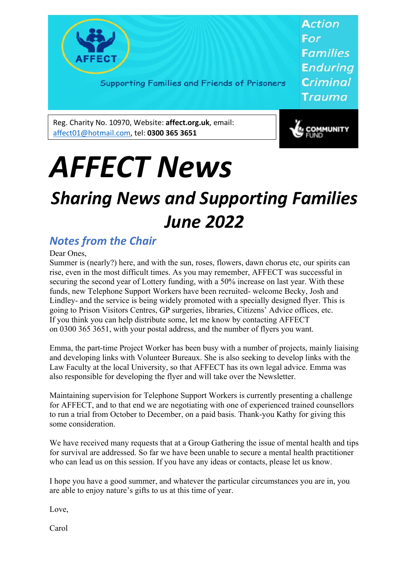

Supporting Families and Friends of Prisoners

**Action** For **Families Enduring Criminal** Trauma

Reg. Charity No. 10970, Website: **affect.org.uk**, email: affect01@hotmail.com, tel: **0300 365 3651**



# *AFFECT News*

## *Sharing News and Supporting Families June 2022*

### *Notes from the Chair*

Dear Ones,

Summer is (nearly?) here, and with the sun, roses, flowers, dawn chorus etc, our spirits can rise, even in the most difficult times. As you may remember, AFFECT was successful in securing the second year of Lottery funding, with a 50% increase on last year. With these funds, new Telephone Support Workers have been recruited- welcome Becky, Josh and Lindley- and the service is being widely promoted with a specially designed flyer. This is going to Prison Visitors Centres, GP surgeries, libraries, Citizens' Advice offices, etc. If you think you can help distribute some, let me know by contacting AFFECT on 0300 365 3651, with your postal address, and the number of flyers you want.

Emma, the part-time Project Worker has been busy with a number of projects, mainly liaising and developing links with Volunteer Bureaux. She is also seeking to develop links with the Law Faculty at the local University, so that AFFECT has its own legal advice. Emma was also responsible for developing the flyer and will take over the Newsletter.

Maintaining supervision for Telephone Support Workers is currently presenting a challenge for AFFECT, and to that end we are negotiating with one of experienced trained counsellors to run a trial from October to December, on a paid basis. Thank-you Kathy for giving this some consideration.

We have received many requests that at a Group Gathering the issue of mental health and tips for survival are addressed. So far we have been unable to secure a mental health practitioner who can lead us on this session. If you have any ideas or contacts, please let us know.

I hope you have a good summer, and whatever the particular circumstances you are in, you are able to enjoy nature's gifts to us at this time of year.

Love,

Carol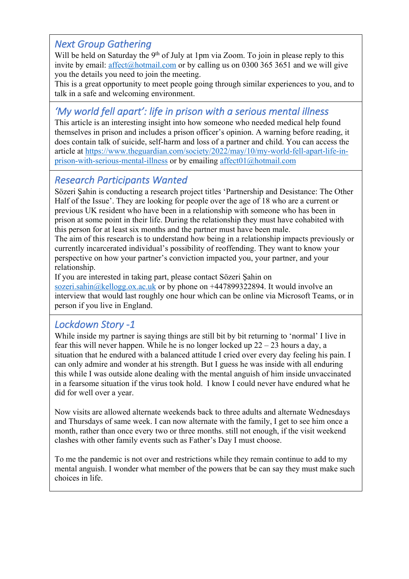#### *Next Group Gathering*

Will be held on Saturday the  $9<sup>th</sup>$  of July at 1pm via Zoom. To join in please reply to this invite by email: affect@hotmail.com or by calling us on 0300 365 3651 and we will give you the details you need to join the meeting.

This is a great opportunity to meet people going through similar experiences to you, and to talk in a safe and welcoming environment.

#### *'My world fell apart': life in prison with a serious mental illness*

This article is an interesting insight into how someone who needed medical help found themselves in prison and includes a prison officer's opinion. A warning before reading, it does contain talk of suicide, self-harm and loss of a partner and child. You can access the article at https://www.theguardian.com/society/2022/may/10/my-world-fell-apart-life-inprison-with-serious-mental-illness or by emailing affect01@hotmail.com

#### *Research Participants Wanted*

Sözeri Şahin is conducting a research project titles 'Partnership and Desistance: The Other Half of the Issue'. They are looking for people over the age of 18 who are a current or previous UK resident who have been in a relationship with someone who has been in prison at some point in their life. During the relationship they must have cohabited with this person for at least six months and the partner must have been male.

The aim of this research is to understand how being in a relationship impacts previously or currently incarcerated individual's possibility of reoffending. They want to know your perspective on how your partner's conviction impacted you, your partner, and your relationship.

If you are interested in taking part, please contact Sözeri Şahin on sozeri.sahin@kellogg.ox.ac.uk or by phone on  $+447899322894$ . It would involve an interview that would last roughly one hour which can be online via Microsoft Teams, or in person if you live in England.

#### *Lockdown Story -1*

While inside my partner is saying things are still bit by bit returning to 'normal' I live in fear this will never happen. While he is no longer locked up 22 – 23 hours a day, a situation that he endured with a balanced attitude I cried over every day feeling his pain. I can only admire and wonder at his strength. But I guess he was inside with all enduring this while I was outside alone dealing with the mental anguish of him inside unvaccinated in a fearsome situation if the virus took hold. I know I could never have endured what he did for well over a year.

Now visits are allowed alternate weekends back to three adults and alternate Wednesdays and Thursdays of same week. I can now alternate with the family, I get to see him once a month, rather than once every two or three months. still not enough, if the visit weekend clashes with other family events such as Father's Day I must choose.

To me the pandemic is not over and restrictions while they remain continue to add to my mental anguish. I wonder what member of the powers that be can say they must make such choices in life.